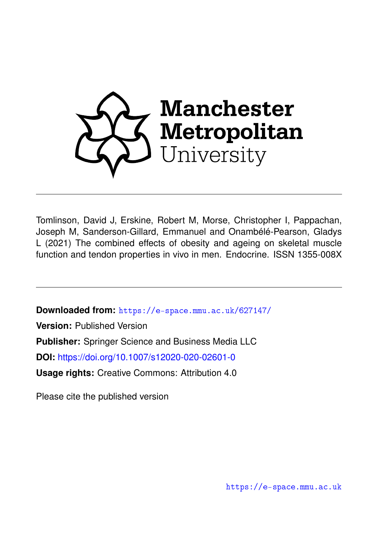

Tomlinson, David J, Erskine, Robert M, Morse, Christopher I, Pappachan, Joseph M, Sanderson-Gillard, Emmanuel and Onambélé-Pearson, Gladys L (2021) The combined effects of obesity and ageing on skeletal muscle function and tendon properties in vivo in men. Endocrine. ISSN 1355-008X

**Downloaded from:** <https://e-space.mmu.ac.uk/627147/>

**Version:** Published Version

**Publisher:** Springer Science and Business Media LLC

**DOI:** <https://doi.org/10.1007/s12020-020-02601-0>

**Usage rights:** Creative Commons: Attribution 4.0

Please cite the published version

<https://e-space.mmu.ac.uk>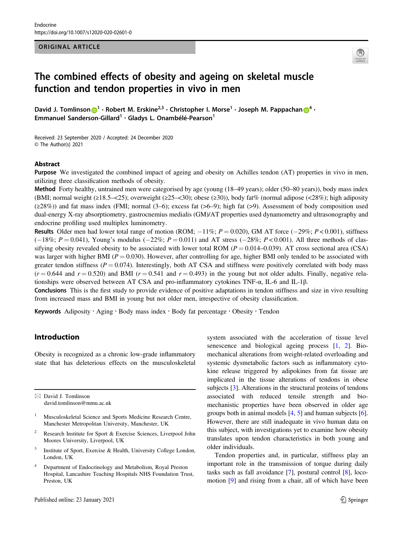#### ORIGINAL ARTICLE



# The combined effects of obesity and ageing on skeletal muscle function and tendon properties in vivo in men

David J. Tomli[n](http://orcid.org/0000-0003-0886-5255)son  $\bigcirc^{1} \cdot$  $\bigcirc^{1} \cdot$  $\bigcirc^{1} \cdot$  Robert M. Erskine<sup>2,3</sup>  $\cdot$  Christopher I. Morse<sup>1</sup>  $\cdot$  Joseph M. Pappachan  $\bigcirc^{4} \cdot$  $\bigcirc^{4} \cdot$  $\bigcirc^{4} \cdot$ Emmanuel Sanderson-Gillard<sup>1</sup> · Gladys L. Onambélé-Pearson<sup>1</sup>

Received: 23 September 2020 / Accepted: 24 December 2020 © The Author(s) 2021

#### Abstract

Purpose We investigated the combined impact of ageing and obesity on Achilles tendon (AT) properties in vivo in men, utilizing three classification methods of obesity.

Method Forty healthy, untrained men were categorised by age (young (18–49 years); older (50–80 years)), body mass index (BMI; normal weight  $(\geq 18.5 - \langle 25 \rangle)$ ; overweight  $(\geq 25 - \langle 30 \rangle)$ ; obese  $(\geq 30)$ ), body fat% (normal adipose  $(\langle 28\% \rangle)$ ; high adiposity (≥28%)) and fat mass index (FMI; normal (3–6); excess fat (>6–9); high fat (>9). Assessment of body composition used dual-energy X-ray absorptiometry, gastrocnemius medialis (GM)/AT properties used dynamometry and ultrasonography and endocrine profiling used multiplex luminometry.

Results Older men had lower total range of motion (ROM;  $-11\%$ ;  $P = 0.020$ ), GM AT force ( $-29\%$ ;  $P < 0.001$ ), stiffness  $(-18\%; P = 0.041)$ , Young's modulus  $(-22\%; P = 0.011)$  and AT stress  $(-28\%; P < 0.001)$ . All three methods of classifying obesity revealed obesity to be associated with lower total ROM ( $P = 0.014 - 0.039$ ). AT cross sectional area (CSA) was larger with higher BMI ( $P = 0.030$ ). However, after controlling for age, higher BMI only tended to be associated with greater tendon stiffness ( $P = 0.074$ ). Interestingly, both AT CSA and stiffness were positively correlated with body mass  $(r = 0.644$  and  $r = 0.520$ ) and BMI  $(r = 0.541$  and  $r = 0.493$ ) in the young but not older adults. Finally, negative relationships were observed between AT CSA and pro-inflammatory cytokines TNF-α, IL-6 and IL-1β.

Conclusions This is the first study to provide evidence of positive adaptations in tendon stiffness and size in vivo resulting from increased mass and BMI in young but not older men, irrespective of obesity classification.

Keywords Adiposity · Aging · Body mass index · Body fat percentage · Obesity · Tendon

# Introduction

Obesity is recognized as a chronic low-grade inflammatory state that has deleterious effects on the musculoskeletal

 $\boxtimes$  David J. Tomlinson [david.tomlinson@mmu.ac.uk](mailto:david.tomlinson@mmu.ac.uk)

- <sup>1</sup> Musculoskeletal Science and Sports Medicine Research Centre, Manchester Metropolitan University, Manchester, UK
- <sup>2</sup> Research Institute for Sport & Exercise Sciences, Liverpool John Moores University, Liverpool, UK
- Institute of Sport, Exercise & Health, University College London, London, UK
- <sup>4</sup> Department of Endocrinology and Metabolism, Royal Preston Hospital, Lancashire Teaching Hospitals NHS Foundation Trust, Preston, UK

system associated with the acceleration of tissue level senescence and biological ageing process [[1,](#page-10-0) [2](#page-10-0)]. Biomechanical alterations from weight-related overloading and systemic dysmetabolic factors such as inflammatory cytokine release triggered by adipokines from fat tissue are implicated in the tissue alterations of tendons in obese subjects [[3\]](#page-10-0). Alterations in the structural proteins of tendons associated with reduced tensile strength and biomechanistic properties have been observed in older age groups both in animal models [\[4](#page-10-0), [5](#page-10-0)] and human subjects [[6\]](#page-10-0). However, there are still inadequate in vivo human data on this subject, with investigations yet to examine how obesity translates upon tendon characteristics in both young and older individuals.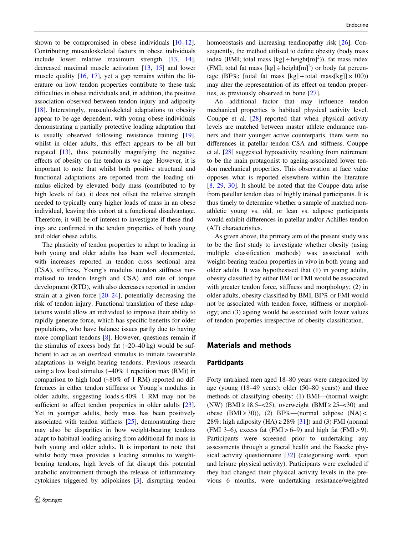shown to be compromised in obese individuals  $[10-12]$  $[10-12]$  $[10-12]$  $[10-12]$ . Contributing musculoskeletal factors in obese individuals include lower relative maximum strength [[13,](#page-10-0) [14](#page-10-0)], decreased maximal muscle activation [[13,](#page-10-0) [15\]](#page-10-0) and lower muscle quality [[16,](#page-10-0) [17](#page-10-0)], yet a gap remains within the literature on how tendon properties contribute to these task difficulties in obese individuals and, in addition, the positive association observed between tendon injury and adiposity [\[18](#page-10-0)]. Interestingly, musculoskeletal adaptations to obesity appear to be age dependent, with young obese individuals demonstrating a partially protective loading adaptation that is usually observed following resistance training [\[19](#page-10-0)], whilst in older adults, this effect appears to be all but negated [\[13](#page-10-0)], thus potentially magnifying the negative effects of obesity on the tendon as we age. However, it is important to note that whilst both positive structural and functional adaptations are reported from the loading stimulus elicited by elevated body mass (contributed to by high levels of fat), it does not offset the relative strength needed to typically carry higher loads of mass in an obese individual, leaving this cohort at a functional disadvantage. Therefore, it will be of interest to investigate if these findings are confirmed in the tendon properties of both young and older obese adults.

The plasticity of tendon properties to adapt to loading in both young and older adults has been well documented, with increases reported in tendon cross sectional area (CSA), stiffness, Young's modulus (tendon stiffness normalised to tendon length and CSA) and rate of torque development (RTD), with also decreases reported in tendon strain at a given force [[20](#page-10-0)–[24\]](#page-11-0), potentially decreasing the risk of tendon injury. Functional translation of these adaptations would allow an individual to improve their ability to rapidly generate force, which has specific benefits for older populations, who have balance issues partly due to having more compliant tendons [\[8](#page-10-0)]. However, questions remain if the stimulus of excess body fat  $(-20-40 \text{ kg})$  would be sufficient to act as an overload stimulus to initiate favourable adaptations in weight-bearing tendons. Previous research using a low load stimulus  $(-40\% 1$  repetition max  $(RM)$ ) in comparison to high load (~80% of 1 RM) reported no differences in either tendon stiffness or Young's modulus in older adults, suggesting loads  $\leq 40\%$  1 RM may not be sufficient to affect tendon properties in older adults [\[23](#page-11-0)]. Yet in younger adults, body mass has been positively associated with tendon stiffness [[25\]](#page-11-0), demonstrating there may also be disparities in how weight-bearing tendons adapt to habitual loading arising from additional fat mass in both young and older adults. It is important to note that whilst body mass provides a loading stimulus to weightbearing tendons, high levels of fat disrupt this potential anabolic environment through the release of inflammatory cytokines triggered by adipokines [\[3](#page-10-0)], disrupting tendon homoeostasis and increasing tendinopathy risk [[26\]](#page-11-0). Consequently, the method utilised to define obesity (body mass index (BMI; total mass  $[kg] \div \text{height}[m]^2$ )), fat mass index (FMI; total fat mass  $[kg] \div \text{height[m]}^2$ ) or body fat percentage (BF%; [total fat mass [kg]  $\div$  total mass[kg]]  $\times$  100)) may alter the representation of its effect on tendon properties, as previously observed in bone [\[27](#page-11-0)].

An additional factor that may influence tendon mechanical properties is habitual physical activity level. Couppe et al. [[28\]](#page-11-0) reported that when physical activity levels are matched between master athlete endurance runners and their younger active counterparts, there were no differences in patellar tendon CSA and stiffness. Couppe et al. [\[28](#page-11-0)] suggested hypoactivity resulting from retirement to be the main protagonist to ageing-associated lower tendon mechanical properties. This observation at face value opposes what is reported elsewhere within the literature [\[8](#page-10-0), [29,](#page-11-0) [30](#page-11-0)]. It should be noted that the Couppe data arise from patellar tendon data of highly trained participants. It is thus timely to determine whether a sample of matched nonathletic young vs. old, or lean vs. adipose participants would exhibit differences in patellar and/or Achilles tendon (AT) characteristics.

As given above, the primary aim of the present study was to be the first study to investigate whether obesity (using multiple classification methods) was associated with weight-bearing tendon properties in vivo in both young and older adults. It was hypothesised that (1) in young adults, obesity classified by either BMI or FMI would be associated with greater tendon force, stiffness and morphology; (2) in older adults, obesity classified by BMI, BF% or FMI would not be associated with tendon force, stiffness or morphology; and (3) ageing would be associated with lower values of tendon properties irrespective of obesity classification.

# Materials and methods

#### Participants

Forty untrained men aged 18–80 years were categorized by age (young (18–49 years): older (50–80 years)) and three methods of classifying obesity: (1) BMI—(normal weight (NW) (BMI ≥ 18.5–<25), overweight (BMI ≥ 25–<30) and obese (BMI ≥ 30)), (2) BF%—(normal adipose (NA) < 28%: high adiposity (HA)  $\geq$  28% [[31\]](#page-11-0)) and (3) FMI (normal (FMI 3–6), excess fat  $(FMI > 6–9)$  and high fat  $(FMI > 9)$ . Participants were screened prior to undertaking any assessments through a general health and the Baecke physical activity questionnaire [[32\]](#page-11-0) (categorising work, sport and leisure physical activity). Participants were excluded if they had changed their physical activity levels in the previous 6 months, were undertaking resistance/weighted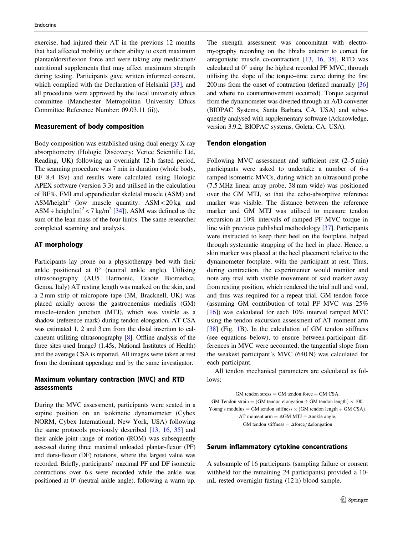exercise, had injured their AT in the previous 12 months that had affected mobility or their ability to exert maximum plantar/dorsiflexion force and were taking any medication/ nutritional supplements that may affect maximum strength during testing. Participants gave written informed consent, which complied with the Declaration of Helsinki [[33\]](#page-11-0), and all procedures were approved by the local university ethics committee (Manchester Metropolitan University Ethics Committee Reference Number: 09.03.11 (ii)).

#### Measurement of body composition

Body composition was established using dual energy X-ray absorptiometry (Hologic Discovery: Vertec Scientific Ltd, Reading, UK) following an overnight 12-h fasted period. The scanning procedure was 7 min in duration (whole body, EF 8.4 lSv) and results were calculated using Hologic APEX software (version 3.3) and utilised in the calculation of BF%, FMI and appendicular skeletal muscle (ASM) and ASM/height<sup>2</sup> (low muscle quantity: ASM < 20 kg and ASM  $\div$  height $[m]^2$  < 7 kg/m<sup>2</sup> [[34\]](#page-11-0)). ASM was defined as the sum of the lean mass of the four limbs. The same researcher completed scanning and analysis.

#### AT morphology

Participants lay prone on a physiotherapy bed with their ankle positioned at 0° (neutral ankle angle). Utilising ultrasonography (AU5 Harmonic, Esaote Biomedica, Genoa, Italy) AT resting length was marked on the skin, and a 2 mm strip of micropore tape (3M, Bracknell, UK) was placed axially across the gastrocnemius medialis (GM) muscle–tendon junction (MTJ), which was visible as a shadow (reference mark) during tendon elongation. AT CSA was estimated 1, 2 and 3 cm from the distal insertion to calcaneum utilizing ultrasonography [[8](#page-10-0)]. Offline analysis of the three sites used ImageJ (1.45s, National Institutes of Health) and the average CSA is reported. All images were taken at rest from the dominant appendage and by the same investigator.

### Maximum voluntary contraction (MVC) and RTD assessments

During the MVC assessment, participants were seated in a supine position on an isokinetic dynamometer (Cybex NORM, Cybex International, New York, USA) following the same protocols previously described [\[13](#page-10-0), [16,](#page-10-0) [35](#page-11-0)] and their ankle joint range of motion (ROM) was subsequently assessed during three maximal unloaded plantar-flexor (PF) and dorsi-flexor (DF) rotations, where the largest value was recorded. Briefly, participants' maximal PF and DF isometric contractions over 6 s were recorded while the ankle was positioned at 0° (neutral ankle angle), following a warm up.

The strength assessment was concomitant with electromyography recording on the tibialis anterior to correct for antagonistic muscle co-contraction [\[13,](#page-10-0) [16,](#page-10-0) [35\]](#page-11-0). RTD was calculated at 0° using the highest recorded PF MVC, through utilising the slope of the torque–time curve during the first 200 ms from the onset of contraction (defined manually [\[36](#page-11-0)] and where no countermovement occurred). Torque acquired from the dynamometer was diverted through an A/D converter (BIOPAC Systems, Santa Barbara, CA, USA) and subsequently analysed with supplementary software (Acknowledge, version 3.9.2, BIOPAC systems, Goleta, CA, USA).

#### Tendon elongation

Following MVC assessment and sufficient rest (2–5 min) participants were asked to undertake a number of 6-s ramped isometric MVCs, during which an ultrasound probe (7.5 MHz linear array probe, 38 mm wide) was positioned over the GM MTJ, so that the echo‐absorptive reference marker was visible. The distance between the reference marker and GM MTJ was utilised to measure tendon excursion at 10% intervals of ramped PF MVC torque in line with previous published methodology [[37](#page-11-0)]. Participants were instructed to keep their heel on the footplate, helped through systematic strapping of the heel in place. Hence, a skin marker was placed at the heel placement relative to the dynamometer footplate, with the participant at rest. Thus, during contraction, the experimenter would monitor and note any trial with visible movement of said marker away from resting position, which rendered the trial null and void, and thus was required for a repeat trial. GM tendon force (assuming GM contribution of total PF MVC was 25% [\[16](#page-10-0)]) was calculated for each 10% interval ramped MVC using the tendon excursion assessment of AT moment arm [\[38](#page-11-0)] (Fig. [1B](#page-4-0)). In the calculation of GM tendon stiffness (see equations below), to ensure between-participant differences in MVC were accounted, the tangential slope from the weakest participant's MVC (640 N) was calculated for each participant.

All tendon mechanical parameters are calculated as follows:

 $GM$  tendon stress = GM tendon force  $\div$  GM CSA. GM Tendon strain = (GM tendon elongation  $\div$  GM tendon length)  $\times$  100. Young's modulus = GM tendon stiffness  $\times$  (GM tendon length  $\div$  GM CSA). AT moment arm  $= \Delta GM MTJ \div \Delta$ ankle angle. GM tendon stiffness =  $\Delta$ force/ $\Delta$ elongation

#### Serum inflammatory cytokine concentrations

A subsample of 16 participants (sampling failure or consent withheld for the remaining 24 participants) provided a 10 mL rested overnight fasting (12 h) blood sample.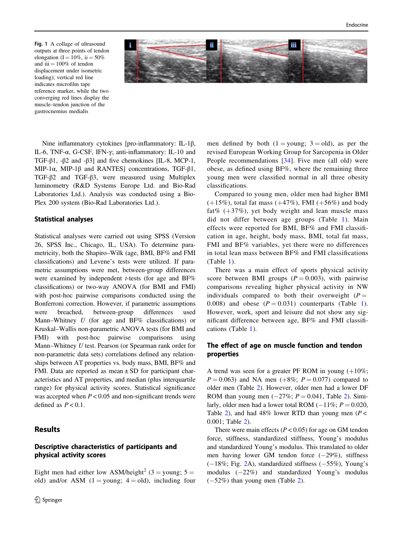<span id="page-4-0"></span>Fig. 1 A collage of ultrasound outputs at three points of tendon elongation (I =  $10\%$ , ii =  $50\%$ and iii  $= 100\%$  of tendon displacement under isometric loading); vertical red line indicates microfilm tape reference marker, while the two converging red lines display the muscle–tendon junction of the gastrocnemius medialis



Nine inflammatory cytokines [pro-inflammatory: IL-1β, IL-6, TNF-α, G-CSF, IFN-γ; anti-inflammatory: IL-10 and TGF- $\beta$ 1, - $\beta$ 2 and - $\beta$ 3] and five chemokines [IL-8, MCP-1, MIP-1α, MIP-1β and RANTES] concentrations, TGF-β1, TGF-β2 and TGF-β3, were measured using Multiplex luminometry (R&D Systems Europe Ltd. and Bio-Rad Laboratories Ltd.). Analysis was conducted using a Bio-Plex 200 system (Bio-Rad Laboratories Ltd.).

#### Statistical analyses

Statistical analyses were carried out using SPSS (Version 26, SPSS Inc., Chicago, IL, USA). To determine parametricity, both the Shapiro–Wilk (age, BMI, BF% and FMI classifications) and Levene's tests were utilized. If parametric assumptions were met, between-group differences were examined by independent *t*-tests (for age and BF% classifications) or two-way ANOVA (for BMI and FMI) with post-hoc pairwise comparisons conducted using the Bonferroni correction. However, if parametric assumptions were breached, between-group differences used Mann–Whitney  $U$  (for age and BF% classifications) or Kruskal–Wallis non-parametric ANOVA tests (for BMI and FMI) with post-hoc pairwise comparisons using Mann–Whitney U test. Pearson (or Spearman rank order for non-parametric data sets) correlations defined any relationships between AT properties vs. body mass, BMI, BF% and FMI. Data are reported as mean  $\pm$  SD for participant characteristics and AT properties, and median (plus interquartile range) for physical activity scores. Statistical significance was accepted when  $P < 0.05$  and non-significant trends were defined as  $P < 0.1$ .

# **Results**

# Descriptive characteristics of participants and physical activity scores

Eight men had either low ASM/height<sup>2</sup> (3 = young;  $5 =$ old) and/or ASM  $(1 =$ young;  $4 =$ old), including four men defined by both  $(1 =$ young;  $3 =$ old), as per the revised European Working Group for Sarcopenia in Older People recommendations [[34\]](#page-11-0). Five men (all old) were obese, as defined using BF%, where the remaining three young men were classified normal in all three obesity classifications.

Compared to young men, older men had higher BMI  $(+15\%)$ , total fat mass  $(+47\%)$ , FMI  $(+56\%)$  and body fat%  $(+37%)$ , yet body weight and lean muscle mass did not differ between age groups (Table [1](#page-5-0)). Main effects were reported for BMI, BF% and FMI classification in age, height, body mass, BMI, total fat mass, FMI and BF% variables, yet there were no differences in total lean mass between BF% and FMI classifications (Table [1](#page-5-0)).

There was a main effect of sports physical activity score between BMI groups  $(P = 0.003)$ , with pairwise comparisons revealing higher physical activity in NW individuals compared to both their overweight  $(P =$ 0.008) and obese  $(P = 0.031)$  $(P = 0.031)$  $(P = 0.031)$  counterparts (Table 1). However, work, sport and leisure did not show any significant difference between age, BF% and FMI classifications (Table [1\)](#page-5-0).

# The effect of age on muscle function and tendon properties

A trend was seen for a greater PF ROM in young  $(+10\%;$  $P = 0.063$ ) and NA men (+8%;  $P = 0.077$ ) compared to older men (Table [2](#page-5-0)). However, older men had a lower DF ROM than young men  $(-27\%; P = 0.041,$  $(-27\%; P = 0.041,$  $(-27\%; P = 0.041,$  Table 2). Similarly, older men had a lower total ROM (−11%;  $P = 0.020$ , Table [2](#page-5-0)), and had 48% lower RTD than young men ( $P$  < 0.001; Table [2](#page-5-0)).

There were main effects ( $P < 0.05$ ) for age on GM tendon force, stiffness, standardized stiffness, Young's modulus and standardized Young's modulus. This translated to older men having lower GM tendon force (−29%), stiffness (−18%; Fig. [2A](#page-6-0)), standardized stiffness (−55%), Young's modulus (−22%) and standardized Young's modulus (−52%) than young men (Table [2\)](#page-5-0).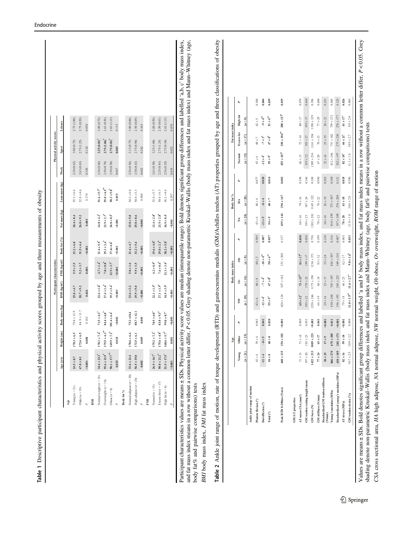<span id="page-5-0"></span>

|                                                                                                                                                                                           | Age                                                |                                    |                                     |                             |                             |                                     |                                          |              |                                  |                                       |                         |                                           |                                          |         |  |
|-------------------------------------------------------------------------------------------------------------------------------------------------------------------------------------------|----------------------------------------------------|------------------------------------|-------------------------------------|-----------------------------|-----------------------------|-------------------------------------|------------------------------------------|--------------|----------------------------------|---------------------------------------|-------------------------|-------------------------------------------|------------------------------------------|---------|--|
|                                                                                                                                                                                           |                                                    | Age (yrs)                          | Height (cm)                         | Body mass (kg)              | BMI (kg/m <sup>2</sup> )    |                                     | Body fat (%)<br>FMI (kg/m <sup>2</sup> ) |              | Fat mass (kg)                    | Lean mass (kg)                        | Work                    | Sport                                     | Leisure                                  |         |  |
|                                                                                                                                                                                           |                                                    |                                    |                                     |                             |                             |                                     |                                          |              |                                  |                                       |                         |                                           |                                          |         |  |
|                                                                                                                                                                                           | Young $(n = 21)$                                   | $24.5 \pm 8.7$                     | $178.3 \pm 6.5$                     | $79.4 \pm 13.9$             | $25.0 \pm 4.7$              | $5.9 \pm 2.9$                       | $23.2 \pm 6.8$                           |              | $18.4\pm8.4$                     | $55.3 \pm 6.6$                        | 2.38(0.63)              | 3.00 (0.75)                               | 2.75 (1.00)                              |         |  |
|                                                                                                                                                                                           | Older $(n = 19)$                                   | $67.8 \pm 8.1$                     | $172.6 \pm 6.5$                     | 84.9 ± 11.7                 | $28.7 \pm 5.2$              | $9.2 \pm 3.7$                       | $31.9 \pm 6.4$                           |              | $26.8 + 9.2$                     | $52.8 \pm 4.6$                        | 2.63(0.63)              | 2.75 (1.25)                               | 2.75(0.50)                               |         |  |
|                                                                                                                                                                                           | $\overline{a}$                                     | 0.001                              | $0.008$                             | 0.182                       | 0.014                       | 0.001                               | 0.001                                    |              | 0.003                            | 0.174                                 | 0.320                   | 0.124                                     | 0.830                                    |         |  |
|                                                                                                                                                                                           | BMI                                                |                                    |                                     |                             |                             |                                     |                                          |              |                                  |                                       |                         |                                           |                                          |         |  |
|                                                                                                                                                                                           | Normal weight $(n = 18)$                           | $34.6 \pm 23.3^4$                  | $178.1 \pm 7.4^{\circ}$             | $71.5 \pm 6.3$              | $22.6 \pm 1.8$ <sup>4</sup> | $4.7 \pm 1.4$ <sup>2</sup>          | $21.4 \pm 5.5$ <sup>3</sup>              |              | $14.8 \pm 4.3^{\circ}$           | $51.6 \pm 5.7^{4}$                    | 2.56 (0.66)             | $3.25(0.81)^4$                            | 3.00 (0.75)                              |         |  |
|                                                                                                                                                                                           | Overweight $(n = 14)$                              | $55.6 \pm 21.9^b$                  | $175.5 \pm 4.3^{\rm ab}$            | $84.4 \pm 6.8$ <sup>b</sup> | $27.4\pm1.4^{\mathrm{b}}$   | $7.8\pm0.8^{\mathrm{b}}$            | $29.1 \pm 2.4^b$                         |              | $23.9\pm2.7^{\circ}$             | $55.0 \pm 4.5^{\rm ab}$               | 2.50(0.78)              | $2.75(1.06)^{b}$                          | 2.63 (0.56)                              |         |  |
|                                                                                                                                                                                           | Obese $(n = 8)$<br>$\mathbf{r}$                    | $50.1\pm17.7^\mathrm{ab}$<br>0.025 | $169.9\pm7.2^{\mathrm{b}}$<br>0.018 | $101.4 \pm 6.4$<br>0.001    | $35.3 \pm 3.4^{6}$<br>0.001 | $12.9\pm3.7^{^{\circ}}$<br>0.001    | $3\,7.4{\pm}$ $6.8^{\circ}$<br>0.001     |              | $36.8\pm8.5^{^{\rm c}}$<br>0.001 | ${\bf 58.3 \pm 5.8}^{\rm b}$<br>0.015 | 2.50(0.50)<br>$0.867\,$ | $2.75\,(0.81)^b$<br>0.003                 | 2.63(1.13)<br>0.115                      |         |  |
|                                                                                                                                                                                           |                                                    |                                    |                                     |                             |                             |                                     |                                          |              |                                  |                                       |                         |                                           |                                          |         |  |
|                                                                                                                                                                                           | Body fat $\%$                                      |                                    |                                     |                             |                             |                                     |                                          |              |                                  |                                       |                         |                                           |                                          |         |  |
|                                                                                                                                                                                           | Normal adipose $(n = 20)$                          | $33.6 \pm 21.4$                    | $178.6 \pm 6.6$                     | $75.3 + 10.4$               | $23.6 \pm 3.2$              | $5.0 \pm 1.6$                       | $21.4 \pm 4.7$                           |              | $15.8 \pm 5.0$                   | $54.2 \pm 6.4$                        | 2.56 (0.56)             | 3.13 (0.75)                               | 3.00 (0.88)                              |         |  |
|                                                                                                                                                                                           | High adipose $(n=20)$                              | $56.5 \pm 19.8$                    | $172.5 \pm 6.1$                     | $88.7 \pm 12.1$             | $29.9 \pm 5.0$              | $9.9 \pm 3.5$                       | $33.2 \pm 5.6$                           |              | $29.0 + 8.6$                     | $54.0 \pm 5.3$                        | 2.50 (0.63)             | 2.75(0.94)                                | 2.50(0.69)                               |         |  |
|                                                                                                                                                                                           | $\mathbb{A}$                                       | 0.002                              | 0.005                               | 0.001                       | 0.001                       | 0.001                               | 0.001                                    |              | 0.001                            | 0.940                                 | $0.602\,$               | 0.242                                     | 0.165                                    |         |  |
|                                                                                                                                                                                           | FMI                                                |                                    |                                     |                             |                             |                                     |                                          |              |                                  |                                       |                         |                                           |                                          |         |  |
|                                                                                                                                                                                           | Normal $(n=15)$                                    | $26.9 \pm 16.7^{4}$                | $179.2 \pm 7.2^4$                   | $70.9\pm6.0^\mathrm{a}$     | $22.1 \pm 1.5^4$            | $4.2\pm0.9^{\mathrm{a}}$            | $19.6 \pm 4.0^4$                         |              | $13.4 \pm 2.8^4$                 | $52.4 \pm 5.7$                        | 2.63(0.50)              | 3.25(1.00)                                | 3.00(0.50)                               |         |  |
|                                                                                                                                                                                           | Excess fat $(n = 17)$                              | $58.0 \pm 21.2^{b}$                | $175.6 \pm 4.8^{\circ}$             | $83.8\pm9.3^{\mathrm{h}}$   | $27.1 \pm 1.9^{b}$          | $7.6\pm0.6^{\mathrm{b}}$            | $29.0 \pm 2.1^{\rm b}$                   |              | $23.5 \pm 2.8^{\rm b}$           | $54.6 \pm 6.3$                        | 2.25(0.81)              | 2.75 (1.25)                               | 2.50(0.63)                               |         |  |
|                                                                                                                                                                                           | High fat $(n = 8)$                                 | $51.5\pm17.5^{^{\circ}}$           | $168.6\pm5.7^{\mathrm{b}}$          | $99.0\pm8.7^{\circ}$        | $34.9 \pm 3.9^{\circ}$      | $13.1 \pm 3.4^{\circ}$              | $38.2 \pm 5.8^{\circ}$                   |              | $36.9 \pm 8.4^\circ$             | $56.2 \pm 4.6$                        | 2.56(0.25)              | 2.75 (0.38)                               | 2.63(1.13)                               |         |  |
|                                                                                                                                                                                           |                                                    | 0.001                              | 0.001                               | 0.001                       | 0.001                       | 0.001                               | 0.001                                    |              | 0.001                            | 0.297                                 | 0.439                   | 0.052                                     | 0.070                                    |         |  |
| BMI body mass index, FMI fat mass index                                                                                                                                                   |                                                    |                                    |                                     |                             |                             |                                     |                                          |              |                                  |                                       |                         |                                           |                                          |         |  |
| Table 2 Ankle joint range of motion, rate of torque development (RTD) and gastrocnemius medialis (GM)/Achilles tendon (AT) properties grouped by age and three classifications of obesity |                                                    |                                    |                                     |                             |                             |                                     |                                          |              |                                  |                                       |                         |                                           |                                          |         |  |
|                                                                                                                                                                                           |                                                    |                                    | Age                                 |                             |                             | mass index<br>Body                  |                                          |              |                                  | Body fat %                            |                         |                                           | Fat mass index                           |         |  |
|                                                                                                                                                                                           |                                                    | Young                              | Older                               | $\mathbf{r}$                | Ř                           | ò                                   | $\hat{\sigma}$                           | $\mathbf{r}$ | Ź                                | É                                     | $\mathbf{r}$            | Normal                                    | <b>High fat</b><br>Excess fat            | P,      |  |
|                                                                                                                                                                                           |                                                    | $(n=21)$                           | $(n = 19)$                          |                             | $(n = 18)$                  | $(n=14)$                            | $(n=8)$                                  |              | $(n=20)$                         | $(n = 20)$                            |                         | $(n = 15)$                                | $(n=8)$<br>$(n=17)$                      |         |  |
|                                                                                                                                                                                           | Ankle joint range of motion                        |                                    |                                     |                             |                             |                                     |                                          |              |                                  |                                       |                         |                                           |                                          |         |  |
|                                                                                                                                                                                           | Plantar flexion (°)                                | $43 \pm 6$                         | $39\pm6$                            | 0.063                       | $43 \pm 6$                  | $40\pm8$                            | $40\pm3$                                 | 0.505        | $43 \pm 6$                       | $40\pm6$                              | 0.077                   | $4.0\pm7$<br>$43 \pm 6$                   | $42 \pm 5$                               | 0.584   |  |
|                                                                                                                                                                                           | Dorsiflexion <sup>(°)</sup>                        | $-11 \pm 4$                        | $-8 \pm 5$                          | 0.041                       | $-12 \pm 4^a$               | $\mathrm{e}^{\frac{1}{\hbar}}\mp 2$ | $^{-10\pm4^{ab}}$                        | $0.007$      | $-11 \pm 5$                      | $-8 \pm 4$                            | 0.020                   | $-7 \pm 3^{\rm b}$<br>$-12 \pm 4^\circ$   | $\mathbf{-9} \pm 4^\mathrm{ab}$          | 0.004   |  |
|                                                                                                                                                                                           | Total $(^\circ)$                                   | $54 \pm 8$                         | $48\pm8$                            | 0.020                       | $55\pm9^\text{a}$           | $47 \pm 8^{\mathrm{h}}$             | $50\pm6^{\rm ab}$                        | 0.037        | $54\pm9$                         | $48\pm7$                              | 0.014                   | $47\pm8^{\mathrm{h}}$<br>$55\pm9^{\rm a}$ | $51\pm6^{ab}$                            | 0.039   |  |
|                                                                                                                                                                                           | Peak RTD 0-200 ms (Nm·s)                           | $468 \pm 135$                      | $254 \pm 102$                       | $-0.001$                    | $420 \pm 124$               | $307 \pm 162$                       | $351 + 208$                              | 0.137        | $439 \pm 144$                    | $294 \pm 147$                         | 0.003                   | $453 \pm 107^4$                           | $280 \pm 127$<br>$330\pm184^\mathrm{ab}$ | 0.019   |  |
|                                                                                                                                                                                           | <b>GM/AT</b> properties                            |                                    |                                     |                             |                             |                                     |                                          |              |                                  |                                       |                         |                                           |                                          |         |  |
|                                                                                                                                                                                           | AT mean CSA (mm <sup>2</sup> )                     | $71 \pm 15$                        | $71 \pm 14$                         | 0.969                       | $65 \pm 12^{a}$             | $73\pm13^{\rm ab}$                  | $81 \pm 17^{\rm b}$                      | 0.030        | $68 \pm 14$                      | $74 \pm 16$                           | 0.198                   | $66 \pm 13$                               | $80\pm17$<br>$72 \pm 14$                 | 0.078   |  |
|                                                                                                                                                                                           | GM tendon resting length (mm)                      | $197 \pm 20$                       | $183 \pm 25$                        | 0.053                       | $195\pm22$                  | $178 \pm 25$                        | $199\pm17$                               | 0.058        | $195 \pm 23$                     | $187 \pm 24$                          | 0.346                   | $183\pm27$<br>$195\pm22$                  | $195\pm17$                               | 0.414   |  |
|                                                                                                                                                                                           | ${\ensuremath{\mathsf{GM}}}$ force $({\mathsf N})$ | $1422 + 233$                       | $1005 \pm 22$                       | $-0.001$                    | $1258 \pm 246$              | $1175 + 358$                        | $1234 \pm 371$                           | 0.758        | $1302 \pm 281$                   | $145 + 322$                           | 0.108                   | $1161 + 354$<br>$1309 \pm 236$            | $1198 + 329$                             | 0.396   |  |
|                                                                                                                                                                                           | GM stiffness (N/mm)                                | $77\pm24$                          | $63\pm17$                           | 0.041                       | $66 \pm 19$                 | $68\pm18$                           | $83\pm32$                                | 0.199        | $70\pm22$                        | $70\pm22$                             | 0.950                   | $70\pm21$<br>$67\pm20$                    | $77\pm29$                                | $0.604$ |  |
|                                                                                                                                                                                           | Standardised GM tendon stiffness                   | $38\pm19$                          | $17 + 9$                            | 0.001                       | $29 \pm 16$                 | $23 \pm 17$                         | $35 \pm 24$                              | 0.138        | $30\pm18$                        | $26 \pm 19$                           | 0.265                   | $25 \pm 19$<br>$32 \pm 16$                | $28 \pm 21$                              | 0.231   |  |
|                                                                                                                                                                                           | (N/nm)                                             |                                    |                                     |                             |                             |                                     |                                          |              |                                  |                                       |                         |                                           |                                          |         |  |
|                                                                                                                                                                                           | Young's modulus (MPa)                              | $866 \pm 275$                      | $675 \pm 305$                       | 0.011                       | $810 + 268$                 | $703 + 347$                         | $826 \pm 307$                            | 0.316        | $814 \pm 299$                    | $737 \pm 307$                         | 0.369                   | $812 \pm 284$                             | $759 \pm 272$<br>$751 \pm 342$           | 0.845   |  |
|                                                                                                                                                                                           | Standardised young's modulus (MPa)                 | $418 + 189$                        | $202 \pm 173$                       | 0.001                       | $356 \pm 193$               | $245 + 223$                         | $349 \pm 218$                            | $0.087\,$    | $357 \pm 209$                    | $274 \pm 208$                         | 0.121                   | $382 \pm 197$                             | $2\,76\pm177$<br>$275 \pm 230$           | 0.125   |  |
|                                                                                                                                                                                           | AT stress (MPa)                                    | $82 \pm 16$                        | $59 \pm 18$                         | 0.001                       | $79 \pm 18$                 | $66 \pm 23$                         | $62\pm17$                                | 0.065        | $78\pm20$                        | $63 \pm 18$                           | 0.018                   | $\mathbf{82}\pm\mathbf{18}^{\mathrm{s}}$  | $61\pm17^{\rm a}$<br>$66 \pm 21^{4}$     | 0.026   |  |
|                                                                                                                                                                                           | GM tendon strain (%)                               | $10.7 \pm 2.5$                     | $10.9 \pm 2.2$                      | $0.808\,$                   | $11.0\pm1.9^{\mathrm{ab}}$  | $11.6\pm2.7^{\rm a}$                | $9.0 \pm 1.6^{\rm b}$                    | 0.033        | $11.0 \pm 1.8$                   | $10.6 \pm 2.8$                        | 0.596                   | $10.9 \pm 2.7$<br>$11.1 \pm 1.8$          | $9.9 \pm 2.4$                            | 0.465   |  |

CSA cross sectional area, HA high adipose, NA normal adipose, NW normal weight, Ob obese, Ov overweight, ROM range of motion

CSA cross sectional area, HA high adipose, NA normal adipose, NW normal weight, Ob obese, Ov overweight, ROM range of motion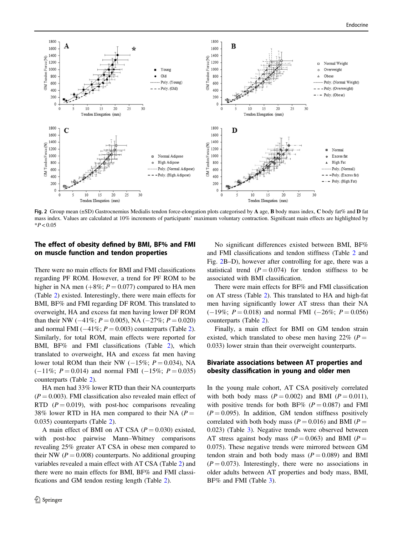<span id="page-6-0"></span>

Fig. 2 Group mean (±SD) Gastrocnemius Medialis tendon force-elongation plots categorised by A age, B body mass index, C body fat% and D fat mass index. Values are calculated at 10% increments of participants' maximum voluntary contraction. Significant main effects are highlighted by  $*P < 0.05$ 

# The effect of obesity defined by BMI, BF% and FMI on muscle function and tendon properties

There were no main effects for BMI and FMI classifications regarding PF ROM. However, a trend for PF ROM to be higher in NA men  $(+8\%; P = 0.077)$  compared to HA men (Table [2\)](#page-5-0) existed. Interestingly, there were main effects for BMI, BF% and FMI regarding DF ROM. This translated to overweight, HA and excess fat men having lower DF ROM than their NW ( $-41\%$ ;  $P = 0.005$ ), NA ( $-27\%$ ;  $P = 0.020$ ) and normal FMI ( $-41\%$ ;  $P = 0.003$ ) counterparts (Table [2](#page-5-0)). Similarly, for total ROM, main effects were reported for BMI, BF% and FMI classifications (Table [2](#page-5-0)), which translated to overweight, HA and excess fat men having lower total ROM than their NW ( $-15\%$ ;  $P = 0.034$ ), NA  $(-11\%; P = 0.014)$  and normal FMI  $(-15\%; P = 0.035)$ counterparts (Table [2](#page-5-0)).

HA men had 33% lower RTD than their NA counterparts  $(P = 0.003)$ . FMI classification also revealed main effect of RTD ( $P = 0.019$ ), with post-hoc comparisons revealing 38% lower RTD in HA men compared to their NA ( $P =$ 0.035) counterparts (Table [2](#page-5-0)).

A main effect of BMI on AT CSA  $(P = 0.030)$  existed, with post-hoc pairwise Mann–Whitney comparisons revealing 25% greater AT CSA in obese men compared to their NW ( $P = 0.008$ ) counterparts. No additional grouping variables revealed a main effect with AT CSA (Table [2](#page-5-0)) and there were no main effects for BMI, BF% and FMI classifications and GM tendon resting length (Table [2](#page-5-0)).

No significant differences existed between BMI, BF% and FMI classifications and tendon stiffness (Table [2](#page-5-0) and Fig. 2B–D), however after controlling for age, there was a statistical trend  $(P = 0.074)$  for tendon stiffness to be associated with BMI classification.

There were main effects for BF% and FMI classification on AT stress (Table [2](#page-5-0)). This translated to HA and high-fat men having significantly lower AT stress than their NA  $(-19\%; P = 0.018)$  and normal FMI  $(-26\%; P = 0.056)$ counterparts (Table [2](#page-5-0)).

Finally, a main effect for BMI on GM tendon strain existed, which translated to obese men having  $22\%$  (P = 0.033) lower strain than their overweight counterparts.

## Bivariate associations between AT properties and obesity classification in young and older men

In the young male cohort, AT CSA positively correlated with both body mass  $(P = 0.002)$  and BMI  $(P = 0.011)$ , with positive trends for both BF% ( $P = 0.087$ ) and FMI  $(P = 0.095)$ . In addition, GM tendon stiffness positively correlated with both body mass ( $P = 0.016$ ) and BMI ( $P =$ 0.023) (Table [3\)](#page-7-0). Negative trends were observed between AT stress against body mass ( $P = 0.063$ ) and BMI ( $P =$ 0.075). These negative trends were mirrored between GM tendon strain and both body mass  $(P = 0.089)$  and BMI  $(P = 0.073)$ . Interestingly, there were no associations in older adults between AT properties and body mass, BMI, BF% and FMI (Table [3](#page-7-0)).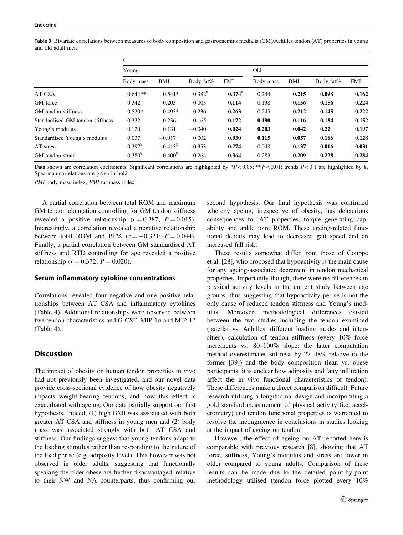|                                  | r          |            |             |           |           |          |           |          |
|----------------------------------|------------|------------|-------------|-----------|-----------|----------|-----------|----------|
|                                  | Young      |            |             |           | Old       |          |           |          |
|                                  | Body mass  | BMI        | Body fat%   | FMI       | Body mass | BMI      | Body fat% | FMI      |
| AT CSA                           | $0.644**$  | $0.541*$   | $0.382^{4}$ | $0.374^*$ | 0.244     | 0.215    | 0.098     | 0.162    |
| GM force                         | 0.342      | 0.203      | 0.003       | 0.114     | 0.138     | 0.156    | 0.156     | 0.224    |
| GM tendon stiffness              | $0.520*$   | $0.493*$   | 0.236       | 0.263     | 0.245     | 0.212    | 0.145     | 0.222    |
| Standardised GM tendon stiffness | 0.332      | 0.236      | 0.165       | 0.172     | 0.190     | 0.116    | 0.184     | 0.152    |
| Young's modulus                  | 0.120      | 0.131      | $-0.040$    | 0.024     | 0.203     | 0.042    | 0.22      | 0.197    |
| Standardised Young's modulus     | 0.037      | $-0.017$   | 0.002       | 0.030     | 0.115     | 0.057    | 0.166     | 0.128    |
| AT stress                        | $-0.397^*$ | $-0.413^*$ | $-0.353$    | $-0.274$  | $-0.048$  | $-0.137$ | 0.016     | $-0.031$ |
| GM tendon strain                 | $-0.380*$  | $-0.400*$  | $-0.264$    | $-0.364$  | $-0.283$  | $-0.209$ | $-0.228$  | $-0.284$ |

<span id="page-7-0"></span>Table 3 Bivariate correlations between measures of body composition and gastrocnemius medialis (GM)/Achilles tendon (AT) properties in young and old adult men

Data shown are correlation coefficients. Significant correlations are highlighted by  $*P < 0.05$ ;  $*P < 0.01$ ; trends  $P < 0.1$  are highlighted by ¥. Spearman correlations are given in bold

BMI body mass index, FMI fat mass index

A partial correlation between total ROM and maximum GM tendon elongation controlling for GM tendon stiffness revealed a positive relationship  $(r = 0.387; P = 0.015)$ . Interestingly, a correlation revealed a negative relationship between total ROM and BF%  $(r = -0.321; P = 0.044)$ . Finally, a partial correlation between GM standardised AT stiffness and RTD controlling for age revealed a positive relationship ( $r = 0.372$ ;  $P = 0.020$ ).

#### Serum inflammatory cytokine concentrations

Correlations revealed four negative and one positive relationships between AT CSA and inflammatory cytokines (Table [4](#page-8-0)). Additional relationships were observed between five tendon characteristics and G-CSF, MIP-1 $\alpha$  and MIP-1 $\beta$ (Table [4](#page-8-0)).

# **Discussion**

The impact of obesity on human tendon properties in vivo had not previously been investigated, and our novel data provide cross-sectional evidence of how obesity negatively impacts weight-bearing tendons, and how this effect is exacerbated with ageing. Our data partially support our first hypothesis. Indeed, (1) high BMI was associated with both greater AT CSA and stiffness in young men and (2) body mass was associated strongly with both AT CSA and stiffness. Our findings suggest that young tendons adapt to the loading stimulus rather than responding to the nature of the load per se (e.g. adiposity level). This however was not observed in older adults, suggesting that functionally speaking the older obese are further disadvantaged, relative to their NW and NA counterparts, thus confirming our second hypothesis. Our final hypothesis was confirmed whereby ageing, irrespective of obesity, has deleterious consequences for AT properties, torque generating capability and ankle joint ROM. These ageing-related functional deficits may lead to decreased gait speed and an increased fall risk.

These results somewhat differ from those of Couppe et al. [[28\]](#page-11-0), who proposed that hypoactivity is the main cause for any ageing-associated decrement in tendon mechanical properties. Importantly though, there were no differences in physical activity levels in the current study between age groups, thus suggesting that hypoactivity per se is not the only cause of reduced tendon stiffness and Young's modulus. Moreover, methodological differences existed between the two studies including the tendon examined (patellar vs. Achilles: different loading modes and intensities), calculation of tendon stiffness (every 10% force increments vs. 80–100% slope: the latter computation method overestimates stiffness by 27–48% relative to the former [\[39](#page-11-0)]) and the body composition (lean vs. obese participants: it is unclear how adiposity and fatty infiltration affect the in vivo functional characteristics of tendon). These differences make a direct comparison difficult. Future research utilising a longitudinal design and incorporating a gold standard measurement of physical activity (i.e. accelerometry) and tendon functional properties is warranted to resolve the incongruence in conclusions in studies looking at the impact of ageing on tendon.

However, the effect of ageing on AT reported here is comparable with previous research [\[8](#page-10-0)], showing that AT force, stiffness, Young's modulus and stress are lower in older compared to young adults. Comparison of these results can be made due to the detailed point-by-point methodology utilised (tendon force plotted every 10%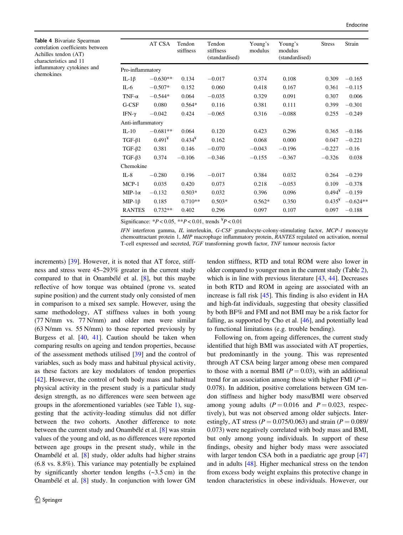<span id="page-8-0"></span>Table 4 Bivariate Spearman correlation coefficients between Achilles tendon (AT) characteristics and 11 inflammatory cytokines and chemokines

|                   | AT CSA     | Tendon<br>stiffness | Tendon<br>stiffness<br>(standardised) | Young's<br>modulus | Young's<br>modulus<br>(standardised) | <b>Stress</b> | Strain     |
|-------------------|------------|---------------------|---------------------------------------|--------------------|--------------------------------------|---------------|------------|
| Pro-inflammatory  |            |                     |                                       |                    |                                      |               |            |
| IL-1 $\beta$      | $-0.630**$ | 0.134               | $-0.017$                              | 0.374              | 0.108                                | 0.309         | $-0.165$   |
| $IL-6$            | $-0.507*$  | 0.152               | 0.060                                 | 0.418              | 0.167                                | 0.361         | $-0.115$   |
| TNF- $\alpha$     | $-0.544*$  | 0.064               | $-0.035$                              | 0.329              | 0.091                                | 0.307         | 0.006      |
| G-CSF             | 0.080      | $0.564*$            | 0.116                                 | 0.381              | 0.111                                | 0.399         | $-0.301$   |
| IFN- $\gamma$     | $-0.042$   | 0.424               | $-0.065$                              | 0.316              | $-0.088$                             | 0.255         | $-0.249$   |
| Anti-inflammatory |            |                     |                                       |                    |                                      |               |            |
| $IL-10$           | $-0.681**$ | 0.064               | 0.120                                 | 0.423              | 0.296                                | 0.365         | $-0.186$   |
| $TGF-\beta1$      | $0.491^*$  | $0.434^*$           | 0.162                                 | 0.068              | 0.000                                | 0.047         | $-0.221$   |
| TGF- $\beta$ 2    | 0.381      | 0.146               | $-0.070$                              | $-0.043$           | $-0.196$                             | $-0.227$      | $-0.16$    |
| $TGF-\beta3$      | 0.374      | $-0.106$            | $-0.346$                              | $-0.155$           | $-0.367$                             | $-0.326$      | 0.038      |
| Chemokine         |            |                     |                                       |                    |                                      |               |            |
| $IL-8$            | $-0.280$   | 0.196               | $-0.017$                              | 0.384              | 0.032                                | 0.264         | $-0.239$   |
| $MCP-1$           | 0.035      | 0.420               | 0.073                                 | 0.218              | $-0.053$                             | 0.109         | $-0.378$   |
| $MIP-1\alpha$     | $-0.132$   | $0.503*$            | 0.032                                 | 0.396              | 0.096                                | $0.494*$      | $-0.159$   |
| $MIP-1\beta$      | 0.185      | $0.710**$           | $0.503*$                              | $0.562*$           | 0.350                                | $0.435^*$     | $-0.624**$ |
| <b>RANTES</b>     | $0.732**$  | 0.402               | 0.296                                 | 0.097              | 0.107                                | 0.097         | $-0.188$   |

Significance:  $*P < 0.05$ ,  $*P < 0.01$ , trends  $*P < 0.01$ 

IFN interferon gamma, IL interleukin, G-CSF granulocyte-colony-stimulating factor, MCP-1 monocyte chemoattractant protein 1, MIP macrophage inflammatory protein, RANTES regulated on activation, normal T-cell expressed and secreted, TGF transforming growth factor, TNF tumour necrosis factor

increments) [\[39](#page-11-0)]. However, it is noted that AT force, stiffness and stress were 45–293% greater in the current study compared to that in Onambélé et al. [[8\]](#page-10-0), but this maybe reflective of how torque was obtained (prone vs. seated supine position) and the current study only consisted of men in comparison to a mixed sex sample. However, using the same methodology, AT stiffness values in both young (77 N/mm vs. 77 N/mm) and older men were similar (63 N/mm vs. 55 N/mm) to those reported previously by Burgess et al. [[40,](#page-11-0) [41\]](#page-11-0). Caution should be taken when comparing results on ageing and tendon properties, because of the assessment methods utilised [[39\]](#page-11-0) and the control of variables, such as body mass and habitual physical activity, as these factors are key modulators of tendon properties [\[42](#page-11-0)]. However, the control of both body mass and habitual physical activity in the present study is a particular study design strength, as no differences were seen between age groups in the aforementioned variables (see Table [1\)](#page-5-0), suggesting that the activity-loading stimulus did not differ between the two cohorts. Another difference to note between the current study and Onambélé et al. [[8](#page-10-0)] was strain values of the young and old, as no differences were reported between age groups in the present study, while in the Onambélé et al. [[8\]](#page-10-0) study, older adults had higher strains (6.8 vs. 8.8%). This variance may potentially be explained by significantly shorter tendon lengths  $(-3.5 \text{ cm})$  in the Onambélé et al. [[8\]](#page-10-0) study. In conjunction with lower GM tendon stiffness, RTD and total ROM were also lower in older compared to younger men in the current study (Table [2\)](#page-5-0), which is in line with previous literature [\[43](#page-11-0), [44\]](#page-11-0). Decreases in both RTD and ROM in ageing are associated with an increase is fall risk [[45\]](#page-11-0). This finding is also evident in HA and high-fat individuals, suggesting that obesity classified by both BF% and FMI and not BMI may be a risk factor for falling, as supported by Cho et al. [\[46](#page-11-0)], and potentially lead to functional limitations (e.g. trouble bending).

Following on, from ageing differences, the current study identified that high BMI was associated with AT properties, but predominantly in the young. This was represented through AT CSA being larger among obese men compared to those with a normal BMI ( $P = 0.03$ ), with an additional trend for an association among those with higher FMI ( $P =$ 0.078). In addition, positive correlations between GM tendon stiffness and higher body mass/BMI were observed among young adults ( $P = 0.016$  and  $P = 0.023$ , respectively), but was not observed among older subjects. Interestingly, AT stress ( $P = 0.075/0.063$ ) and strain ( $P = 0.089/$ 0.073) were negatively correlated with body mass and BMI, but only among young individuals. In support of these findings, obesity and higher body mass were associated with larger tendon CSA both in a paediatric age group [\[47](#page-11-0)] and in adults [\[48](#page-11-0)]. Higher mechanical stress on the tendon from excess body weight explains this protective change in tendon characteristics in obese individuals. However, our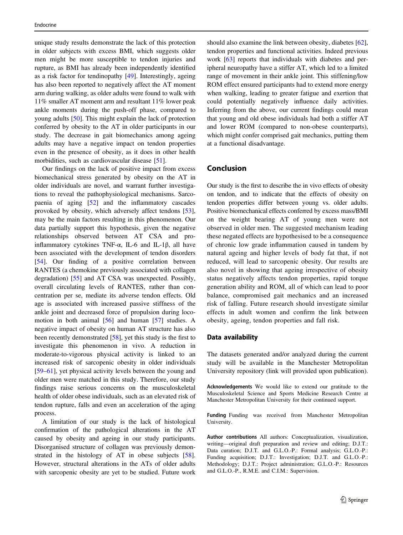unique study results demonstrate the lack of this protection in older subjects with excess BMI, which suggests older men might be more susceptible to tendon injuries and rupture, as BMI has already been independently identified as a risk factor for tendinopathy [[49\]](#page-11-0). Interestingly, ageing has also been reported to negatively affect the AT moment arm during walking, as older adults were found to walk with 11% smaller AT moment arm and resultant 11% lower peak ankle moments during the push-off phase, compared to young adults [\[50](#page-11-0)]. This might explain the lack of protection conferred by obesity to the AT in older participants in our study. The decrease in gait biomechanics among ageing adults may have a negative impact on tendon properties even in the presence of obesity, as it does in other health morbidities, such as cardiovascular disease [[51\]](#page-11-0).

Our findings on the lack of positive impact from excess biomechanical stress generated by obesity on the AT in older individuals are novel, and warrant further investigations to reveal the pathophysiological mechanisms. Sarcopaenia of aging [\[52](#page-11-0)] and the inflammatory cascades provoked by obesity, which adversely affect tendons [\[53](#page-12-0)], may be the main factors resulting in this phenomenon. Our data partially support this hypothesis, given the negative relationships observed between AT CSA and proinflammatory cytokines TNF- $\alpha$ , IL-6 and IL-1 $\beta$ , all have been associated with the development of tendon disorders [\[54](#page-12-0)]. Our finding of a positive correlation between RANTES (a chemokine previously associated with collagen degradation) [[55\]](#page-12-0) and AT CSA was unexpected. Possibly, overall circulating levels of RANTES, rather than concentration per se, mediate its adverse tendon effects. Old age is associated with increased passive stiffness of the ankle joint and decreased force of propulsion during locomotion in both animal [\[56](#page-12-0)] and human [\[57](#page-12-0)] studies. A negative impact of obesity on human AT structure has also been recently demonstrated [[58\]](#page-12-0), yet this study is the first to investigate this phenomenon in vivo. A reduction in moderate-to-vigorous physical activity is linked to an increased risk of sarcopenic obesity in older individuals [\[59](#page-12-0)–[61](#page-12-0)], yet physical activity levels between the young and older men were matched in this study. Therefore, our study findings raise serious concerns on the musculoskeletal health of older obese individuals, such as an elevated risk of tendon rupture, falls and even an acceleration of the aging process.

A limitation of our study is the lack of histological confirmation of the pathological alterations in the AT caused by obesity and ageing in our study participants. Disorganised structure of collagen was previously demonstrated in the histology of AT in obese subjects [\[58](#page-12-0)]. However, structural alterations in the ATs of older adults with sarcopenic obesity are yet to be studied. Future work should also examine the link between obesity, diabetes [[62\]](#page-12-0), tendon properties and functional activities. Indeed previous work [\[63](#page-12-0)] reports that individuals with diabetes and peripheral neuropathy have a stiffer AT, which led to a limited range of movement in their ankle joint. This stiffening/low ROM effect ensured participants had to extend more energy when walking, leading to greater fatigue and exertion that could potentially negatively influence daily activities. Inferring from the above, our current findings could mean that young and old obese individuals had both a stiffer AT and lower ROM (compared to non-obese counterparts), which might confer comprised gait mechanics, putting them at a functional disadvantage.

## Conclusion

Our study is the first to describe the in vivo effects of obesity on tendon, and to indicate that the effects of obesity on tendon properties differ between young vs. older adults. Positive biomechanical effects conferred by excess mass/BMI on the weight bearing AT of young men were not observed in older men. The suggested mechanism leading these negated effects are hypothesised to be a consequence of chronic low grade inflammation caused in tandem by natural ageing and higher levels of body fat that, if not reduced, will lead to sarcopenic obesity. Our results are also novel in showing that ageing irrespective of obesity status negatively affects tendon properties, rapid torque generation ability and ROM, all of which can lead to poor balance, compromised gait mechanics and an increased risk of falling. Future research should investigate similar effects in adult women and confirm the link between obesity, ageing, tendon properties and fall risk.

#### Data availability

The datasets generated and/or analyzed during the current study will be available in the Manchester Metropolitan University repository (link will provided upon publication).

Acknowledgements We would like to extend our gratitude to the Musculoskeletal Science and Sports Medicine Research Centre at Manchester Metropolitan University for their continued support.

Funding Funding was received from Manchester Metropolitan University.

Author contributions All authors: Conceptualization, visualization, writing—original draft preparation and review and editing; D.J.T.: Data curation; D.J.T. and G.L.O.-P.: Formal analysis; G.L.O.-P.: Funding acquisition; D.J.T.: Investigation; D.J.T. and G.L.O.-P.: Methodology; D.J.T.: Project administration; G.L.O.-P.: Resources and G.L.O.-P., R.M.E. and C.I.M.: Supervision.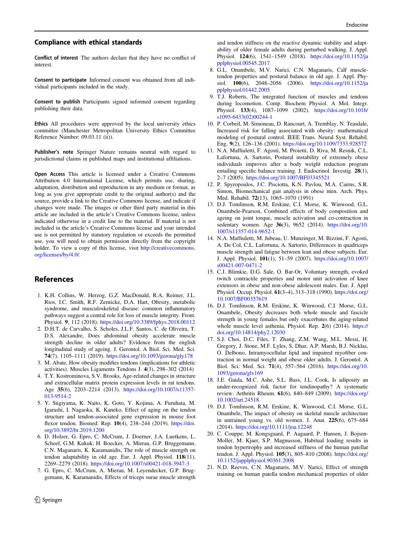#### <span id="page-10-0"></span>Compliance with ethical standards

Conflict of interest The authors declare that they have no conflict of interest.

Consent to participate Informed consent was obtained from all individual participants included in the study.

Consent to publish Participants signed informed consent regarding publishing their data.

Ethics All procedures were approved by the local university ethics committee (Manchester Metropolitan University Ethics Committee Reference Number: 09.03.11 (ii)).

Publisher's note Springer Nature remains neutral with regard to jurisdictional claims in published maps and institutional affiliations.

Open Access This article is licensed under a Creative Commons Attribution 4.0 International License, which permits use, sharing, adaptation, distribution and reproduction in any medium or format, as long as you give appropriate credit to the original author(s) and the source, provide a link to the Creative Commons license, and indicate if changes were made. The images or other third party material in this article are included in the article's Creative Commons license, unless indicated otherwise in a credit line to the material. If material is not included in the article's Creative Commons license and your intended use is not permitted by statutory regulation or exceeds the permitted use, you will need to obtain permission directly from the copyright holder. To view a copy of this license, visit [http://creativecommons.](http://creativecommons.org/licenses/by/4.0/) [org/licenses/by/4.0/.](http://creativecommons.org/licenses/by/4.0/)

#### References

- 1. K.H. Collins, W. Herzog, G.Z. MacDonald, R.A. Reimer, J.L. Rios, I.C. Smith, R.F. Zernicke, D.A. Hart, Obesity, metabolic syndrome, and musculoskeletal disease: common inflammatory pathways suggest a central role for loss of muscle integrity. Front. Physiol. 9, 112 (2018). <https://doi.org/10.3389/fphys.2018.00112>
- 2. D.H.T. de Carvalho, S. Scholes, J.L.F. Santos, C. de Oliveira, T. D.S. Alexandre, Does abdominal obesity accelerate muscle strength decline in older adults? Evidence from the english longitudinal study of ageing. J. Gerontol. A Biol. Sci. Med. Sci. 74(7), 1105–1111 (2019). <https://doi.org/10.1093/gerona/gly178>
- 3. M. Abate, How obesity modifies tendons (implications for athletic activities). Muscles Ligaments Tendons J. 4(3), 298–302 (2014)
- 4. T.Y. Kostrominova, S.V. Brooks, Age-related changes in structure and extracellular matrix protein expression levels in rat tendons. Age 35(6), 2203–2214 (2013). [https://doi.org/10.1007/s11357-](https://doi.org/10.1007/s11357-013-9514-2) [013-9514-2](https://doi.org/10.1007/s11357-013-9514-2)
- 5. Y. Sugiyama, K. Naito, K. Goto, Y. Kojima, A. Furuhata, M. Igarashi, I. Nagaoka, K. Kaneko, Effect of aging on the tendon structure and tendon-associated gene expression in mouse foot flexor tendon. Biomed. Rep. 10(4), 238–244 (2019). [https://doi.](https://doi.org/10.3892/br.2019.1200) [org/10.3892/br.2019.1200](https://doi.org/10.3892/br.2019.1200)
- 6. D. Holzer, G. Epro, C. McCrum, J. Doerner, J.A. Luetkens, L. Scheef, G.M. Kukuk, H. Boecker, A. Mierau, G.P. Bruggemann, C.N. Maganaris, K. Karamanidis, The role of muscle strength on tendon adaptability in old age. Eur. J. Appl. Physiol. 118(11), 2269–2279 (2018). <https://doi.org/10.1007/s00421-018-3947-3>
- 7. G. Epro, C. McCrum, A. Mierau, M. Leyendecker, G.P. Bruggemann, K. Karamanidis, Effects of triceps surae muscle strength

and tendon stiffness on the reactive dynamic stability and adaptability of older female adults during perturbed walking. J. Appl. Physiol. 124(6), 1541–1549 (2018). [https://doi.org/10.1152/ja](https://doi.org/10.1152/japplphysiol.00545.2017) [pplphysiol.00545.2017](https://doi.org/10.1152/japplphysiol.00545.2017)

- 8. G.L. Onambele, M.V. Narici, C.N. Maganaris, Calf muscletendon properties and postural balance in old age. J. Appl. Physiol. 100(6), 2048–2056 (2006). [https://doi.org/10.1152/ja](https://doi.org/10.1152/japplphysiol.01442.2005) [pplphysiol.01442.2005](https://doi.org/10.1152/japplphysiol.01442.2005)
- 9. T.J. Roberts, The integrated function of muscles and tendons during locomotion. Comp. Biochem Physiol. A Mol. Integr. Physiol. 133(4), 1087-1099 (2002). [https://doi.org/10.1016/](https://doi.org/10.1016/s1095-6433(02)00244-1) [s1095-6433\(02\)00244-1](https://doi.org/10.1016/s1095-6433(02)00244-1)
- 10. P. Corbeil, M. Simoneau, D. Rancourt, A. Tremblay, N. Teasdale, Increased risk for falling associated with obesity: mathematical modeling of postural control. IEEE Trans. Neural Syst. Rehabil. Eng. 9(2), 126–136 (2001). <https://doi.org/10.1109/7333.928572>
- 11. N.A. Maffiuletti, F. Agosti, M. Proietti, D. Riva, M. Resnik, C.L. Lafortuna, A. Sartorio, Postural instability of extremely obese individuals improves after a body weight reduction program entailing specific balance training. J. Endocrinol. Investig. 28(1), 2–7 (2005). <https://doi.org/10.1007/BF03345521>
- 12. P. Spyropoulos, J.C. Pisciotta, K.N. Pavlou, M.A. Cairns, S.R. Simon, Biomechanical gait analysis in obese men. Arch. Phys. Med. Rehabil. 72(13), 1065–1070 (1991)
- 13. D.J. Tomlinson, R.M. Erskine, C.I. Morse, K. Winwood, G.L. Onambele-Pearson, Combined effects of body composition and ageing on joint torque, muscle activation and co-contraction in sedentary women. Age 36(3), 9652 (2014). [https://doi.org/10.](https://doi.org/10.1007/s11357-014-9652-1) [1007/s11357-014-9652-1](https://doi.org/10.1007/s11357-014-9652-1)
- 14. N.A. Maffiuletti, M. Jubeau, U. Munzinger, M. Bizzini, F. Agosti, A. De Col, C.L. Lafortuna, A. Sartorio, Differences in quadriceps muscle strength and fatigue between lean and obese subjects. Eur. J. Appl. Physiol. 101(1), 51–59 (2007). [https://doi.org/10.1007/](https://doi.org/10.1007/s00421-007-0471-2) [s00421-007-0471-2](https://doi.org/10.1007/s00421-007-0471-2)
- 15. C.J. Blimkie, D.G. Sale, O. Bar-Or, Voluntary strength, evoked twitch contractile properties and motor unit activation of knee extensors in obese and non-obese adolescent males. Eur. J. Appl Physiol. Occup. Physiol. 61(3-4), 313-318 (1990). [https://doi.org/](https://doi.org/10.1007/BF00357619) [10.1007/BF00357619](https://doi.org/10.1007/BF00357619)
- 16. D.J. Tomlinson, R.M. Erskine, K. Winwood, C.I. Morse, G.L. Onambele, Obesity decreases both whole muscle and fascicle strength in young females but only exacerbates the aging-related whole muscle level asthenia. Physiol. Rep. 2(6) (2014). [https://](https://doi.org/10.14814/phy2.12030) [doi.org/10.14814/phy2.12030](https://doi.org/10.14814/phy2.12030)
- 17. S.J. Choi, D.C. Files, T. Zhang, Z.M. Wang, M.L. Messi, H. Gregory, J. Stone, M.F. Lyles, S. Dhar, A.P. Marsh, B.J. Nicklas, O. Delbono, Intramyocellular lipid and impaired myofiber contraction in normal weight and obese older adults. J. Gerontol. A Biol. Sci. Med. Sci. 71(4), 557–564 (2016). [https://doi.org/10.](https://doi.org/10.1093/gerona/glv169) [1093/gerona/glv169](https://doi.org/10.1093/gerona/glv169)
- 18. J.E. Gaida, M.C. Ashe, S.L. Bass, J.L. Cook, Is adiposity an under-recognized risk factor for tendinopathy? A systematic review. Arthritis Rheum. 61(6), 840–849 (2009). [https://doi.org/](https://doi.org/10.1002/art.24518) [10.1002/art.24518](https://doi.org/10.1002/art.24518)
- 19. D.J. Tomlinson, R.M. Erskine, K. Winwood, C.I. Morse, G.L. Onambele, The impact of obesity on skeletal muscle architecture in untrained young vs. old women. J. Anat. 225(6), 675–684 (2014). <https://doi.org/10.1111/joa.12248>
- 20. C. Couppe, M. Kongsgaard, P. Aagaard, P. Hansen, J. Bojsen-Moller, M. Kjaer, S.P. Magnusson, Habitual loading results in tendon hypertrophy and increased stiffness of the human patellar tendon. J. Appl. Physiol. 105(3), 805–810 (2008). [https://doi.org/](https://doi.org/10.1152/japplphysiol.90361.2008) [10.1152/japplphysiol.90361.2008](https://doi.org/10.1152/japplphysiol.90361.2008)
- 21. N.D. Reeves, C.N. Maganaris, M.V. Narici, Effect of strength training on human patella tendon mechanical properties of older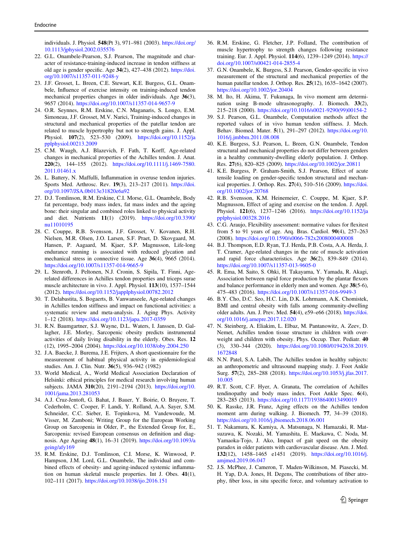<span id="page-11-0"></span>individuals. J. Physiol. 548(Pt 3), 971–981 (2003). [https://doi.org/](https://doi.org/10.1113/jphysiol.2002.035576) [10.1113/jphysiol.2002.035576](https://doi.org/10.1113/jphysiol.2002.035576)

- 22. G.L. Onambele-Pearson, S.J. Pearson, The magnitude and character of resistance-training-induced increase in tendon stiffness at old age is gender specific. Age 34(2), 427–438 (2012). [https://doi.](https://doi.org/10.1007/s11357-011-9248-y) [org/10.1007/s11357-011-9248-y](https://doi.org/10.1007/s11357-011-9248-y)
- 23. J.F. Grosset, L. Breen, C.E. Stewart, K.E. Burgess, G.L. Onambele, Influence of exercise intensity on training-induced tendon mechanical properties changes in older individuals. Age 36(3), 9657 (2014). <https://doi.org/10.1007/s11357-014-9657-9>
- 24. O.R. Seynnes, R.M. Erskine, C.N. Maganaris, S. Longo, E.M. Simoneau, J.F. Grosset, M.V. Narici, Training-induced changes in structural and mechanical properties of the patellar tendon are related to muscle hypertrophy but not to strength gains. J. Appl. Physiol. 107(2), 523–530 (2009). [https://doi.org/10.1152/ja](https://doi.org/10.1152/japplphysiol.00213.2009) [pplphysiol.00213.2009](https://doi.org/10.1152/japplphysiol.00213.2009)
- 25. C.M. Waugh, A.J. Blazevich, F. Fath, T. Korff, Age-related changes in mechanical properties of the Achilles tendon. J. Anat. 220(2), 144–155 (2012). [https://doi.org/10.1111/j.1469-7580.](https://doi.org/10.1111/j.1469-7580.2011.01461.x) [2011.01461.x](https://doi.org/10.1111/j.1469-7580.2011.01461.x)
- 26. L. Battery, N. Maffulli, Inflammation in overuse tendon injuries. Sports Med. Arthrosc. Rev. 19(3), 213–217 (2011). [https://doi.](https://doi.org/10.1097/JSA.0b013e31820e6a92) [org/10.1097/JSA.0b013e31820e6a92](https://doi.org/10.1097/JSA.0b013e31820e6a92)
- 27. D.J. Tomlinson, R.M. Erskine, C.I. Morse, G.L. Onambele, Body fat percentage, body mass index, fat mass index and the ageing bone: their singular and combined roles linked to physical activity and diet. Nutrients 11(1) (2019). [https://doi.org/10.3390/](https://doi.org/10.3390/nu11010195) [nu11010195](https://doi.org/10.3390/nu11010195)
- 28. C. Couppe, R.B. Svensson, J.F. Grosset, V. Kovanen, R.H. Nielsen, M.R. Olsen, J.O. Larsen, S.F. Praet, D. Skovgaard, M. Hansen, P. Aagaard, M. Kjaer, S.P. Magnusson, Life-long endurance running is associated with reduced glycation and mechanical stress in connective tissue. Age 36(4), 9665 (2014). <https://doi.org/10.1007/s11357-014-9665-9>
- 29. L. Stenroth, J. Peltonen, N.J. Cronin, S. Sipila, T. Finni, Agerelated differences in Achilles tendon properties and triceps surae muscle architecture in vivo. J. Appl. Physiol. 113(10), 1537–1544 (2012). <https://doi.org/10.1152/japplphysiol.00782.2012>
- 30. T. Delabastita, S. Bogaerts, B. Vanwanseele, Age-related changes in Achilles tendon stiffness and impact on functional activities: a systematic review and meta-analysis. J. Aging Phys. Activity 1–12 (2018). <https://doi.org/10.1123/japa.2017-0359>
- 31. R.N. Baumgartner, S.J. Wayne, D.L. Waters, I. Janssen, D. Gallagher, J.E. Morley, Sarcopenic obesity predicts instrumental activities of daily living disability in the elderly. Obes. Res. 12 (12), 1995–2004 (2004). <https://doi.org/10.1038/oby.2004.250>
- 32. J.A. Baecke, J. Burema, J.E. Frijters, A short questionnaire for the measurement of habitual physical activity in epidemiological studies. Am. J. Clin. Nutr. 36(5), 936–942 (1982)
- 33. World Medical, A., World Medical Association Declaration of Helsinki: ethical principles for medical research involving human subjects. JAMA 310(20), 2191–2194 (2013). [https://doi.org/10.](https://doi.org/10.1001/jama.2013.281053) [1001/jama.2013.281053](https://doi.org/10.1001/jama.2013.281053)
- 34. A.J. Cruz-Jentoft, G. Bahat, J. Bauer, Y. Boirie, O. Bruyere, T. Cederholm, C. Cooper, F. Landi, Y. Rolland, A.A. Sayer, S.M. Schneider, C.C. Sieber, E. Topinkova, M. Vandewoude, M. Visser, M. Zamboni; Writing Group for the European Working Group on Sarcopenia in Older, P., the Extended Group for, E., Sarcopenia: revised European consensus on definition and diagnosis. Age Ageing 48(1), 16–31 (2019). [https://doi.org/10.1093/a](https://doi.org/10.1093/ageing/afy169) [geing/afy169](https://doi.org/10.1093/ageing/afy169)
- 35. R.M. Erskine, D.J. Tomlinson, C.I. Morse, K. Winwood, P. Hampson, J.M. Lord, G.L. Onambele, The individual and combined effects of obesity- and ageing-induced systemic inflammation on human skeletal muscle properties. Int J. Obes. 41(1), 102–111 (2017). <https://doi.org/10.1038/ijo.2016.151>
- 36. R.M. Erskine, G. Fletcher, J.P. Folland, The contribution of muscle hypertrophy to strength changes following resistance training. Eur. J. Appl. Physiol. 114(6), 1239–1249 (2014). [https://](https://doi.org/10.1007/s00421-014-2855-4) [doi.org/10.1007/s00421-014-2855-4](https://doi.org/10.1007/s00421-014-2855-4)
- 37. G.N. Onambele, K. Burgess, S.J. Pearson, Gender-specific in vivo measurement of the structural and mechanical properties of the human patellar tendon. J. Orthop. Res. 25(12), 1635–1642 (2007). <https://doi.org/10.1002/jor.20404>
- 38. M. Ito, H. Akima, T. Fukunaga, In vivo moment arm determination using B-mode ultrasonography. J. Biomech. 33(2), 215–218 (2000). [https://doi.org/10.1016/s0021-9290\(99\)00154-2](https://doi.org/10.1016/s0021-9290(99)00154-2)
- 39. S.J. Pearson, G.L. Onambele, Computation methods affect the reported values of in vivo human tendon stiffness. J. Mech. Behav. Biomed. Mater. 5(1), 291–297 (2012). [https://doi.org/10.](https://doi.org/10.1016/j.jmbbm.2011.08.008) [1016/j.jmbbm.2011.08.008](https://doi.org/10.1016/j.jmbbm.2011.08.008)
- 40. K.E. Burgess, S.J. Pearson, L. Breen, G.N. Onambele, Tendon structural and mechanical properties do not differ between genders in a healthy community-dwelling elderly population. J. Orthop. Res. 27(6), 820–825 (2009). <https://doi.org/10.1002/jor.20811>
- 41. K.E. Burgess, P. Graham-Smith, S.J. Pearson, Effect of acute tensile loading on gender-specific tendon structural and mechanical properties. J. Orthop. Res. 27(4), 510–516 (2009). [https://doi.](https://doi.org/10.1002/jor.20768) [org/10.1002/jor.20768](https://doi.org/10.1002/jor.20768)
- 42. R.B. Svensson, K.M. Heinemeier, C. Couppe, M. Kjaer, S.P. Magnusson, Effect of aging and exercise on the tendon. J. Appl. Physiol. 121(6), 1237–1246 (2016). [https://doi.org/10.1152/ja](https://doi.org/10.1152/japplphysiol.00328.2016) [pplphysiol.00328.2016](https://doi.org/10.1152/japplphysiol.00328.2016)
- 43. C.G. Araujo, Flexibility assessment: normative values for flexitest from 5 to 91 years of age. Arq. Bras. Cardiol. 90(4), 257–263 (2008). <https://doi.org/10.1590/s0066-782x2008000400008>
- 44. B.J. Thompson, E.D. Ryan, T.J. Herda, P.B. Costa, A.A. Herda, J. T. Cramer, Age-related changes in the rate of muscle activation and rapid force characteristics. Age 36(2), 839–849 (2014). <https://doi.org/10.1007/s11357-013-9605-0>
- 45. R. Ema, M. Saito, S. Ohki, H. Takayama, Y. Yamada, R. Akagi, Association between rapid force production by the plantar flexors and balance performance in elderly men and women. Age 38(5-6), 475–483 (2016). <https://doi.org/10.1007/s11357-016-9949-3>
- 46. B.Y. Cho, D.C. Seo, H.C. Lin, D.K. Lohrmann, A.K. Chomistek, BMI and central obesity with falls among community-dwelling older adults. Am. J. Prev. Med. 54(4), e59–e66 (2018). [https://doi.](https://doi.org/10.1016/j.amepre.2017.12.020) [org/10.1016/j.amepre.2017.12.020](https://doi.org/10.1016/j.amepre.2017.12.020)
- 47. N. Steinberg, A. Eliakim, L. Elbaz, M. Pantanowitz, A. Zeev, D. Nemet, Achilles tendon tissue structure in children with overweight and children with obesity. Phys. Occup. Ther. Pediatr. 40 (3), 330–344 (2020). [https://doi.org/10.1080/01942638.2019.](https://doi.org/10.1080/01942638.2019.1672848) [1672848](https://doi.org/10.1080/01942638.2019.1672848)
- 48. N.N. Patel, S.A. Labib, The Achilles tendon in healthy subjects: an anthropometric and ultrasound mapping study. J. Foot Ankle Surg. 57(2), 285–288 (2018). [https://doi.org/10.1053/j.jfas.2017.](https://doi.org/10.1053/j.jfas.2017.10.005) [10.005](https://doi.org/10.1053/j.jfas.2017.10.005)
- 49. R.T. Scott, C.F. Hyer, A. Granata, The correlation of Achilles tendinopathy and body mass index. Foot Ankle Spec. 6(4), 283–285 (2013). <https://doi.org/10.1177/1938640013490019>
- 50. K. Rasske, J.R. Franz, Aging effects on the Achilles tendon moment arm during walking. J. Biomech. 77, 34–39 (2018). <https://doi.org/10.1016/j.jbiomech.2018.06.001>
- 51. T. Nakamura, K. Kamiya, A. Matsunaga, N. Hamazaki, R. Matsuzawa, K. Nozaki, M. Yamashita, E. Maekawa, C. Noda, M. Yamaoka-Tojo, J. Ako, Impact of gait speed on the obesity paradox in older patients with cardiovascular disease. Am. J. Med. 132(12), 1458–1465 e1451 (2019). [https://doi.org/10.1016/j.](https://doi.org/10.1016/j.amjmed.2019.06.047) [amjmed.2019.06.047](https://doi.org/10.1016/j.amjmed.2019.06.047)
- 52. J.S. McPhee, J. Cameron, T. Maden-Wilkinson, M. Piasecki, M. H. Yap, D.A. Jones, H. Degens, The contributions of fiber atrophy, fiber loss, in situ specific force, and voluntary activation to